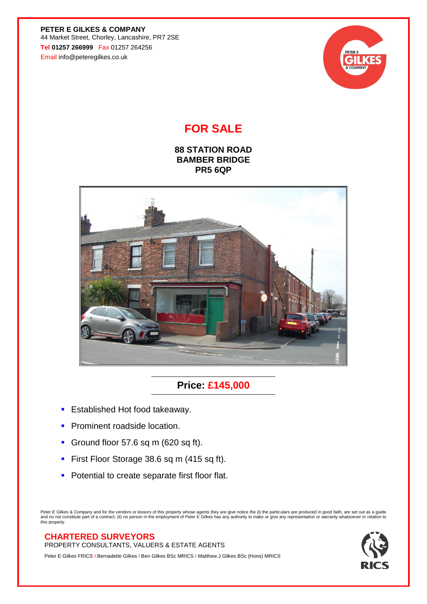**PETER E GILKES & COMPANY** 44 Market Street, Chorley, Lancashire, PR7 2SE **Tel 01257 266999** Fax 01257 264256 Email info@peteregilkes.co.uk



## **FOR SALE**

**88 STATION ROAD BAMBER BRIDGE PR5 6QP**



## **Price: £145,000**

- **Established Hot food takeaway.**
- **Prominent roadside location.**
- **Ground floor 57.6 sq m (620 sq ft).**
- **First Floor Storage 38.6 sq m (415 sq ft).**
- **Potential to create separate first floor flat.**

Peter E Gilkes & Company and for the vendors or lessors of this property whose agents they are give notice the (i) the particulars are produced in good faith, are set out as a guide<br>and no not constitute part of a contract

## **CHARTERED SURVEYORS**

PROPERTY CONSULTANTS, VALUERS & ESTATE AGENTS

Peter E Gilkes FRICS I Bernadette Gilkes I Ben Gilkes BSc MRICS I Matthew J Gilkes BSc (Hons) MRICS

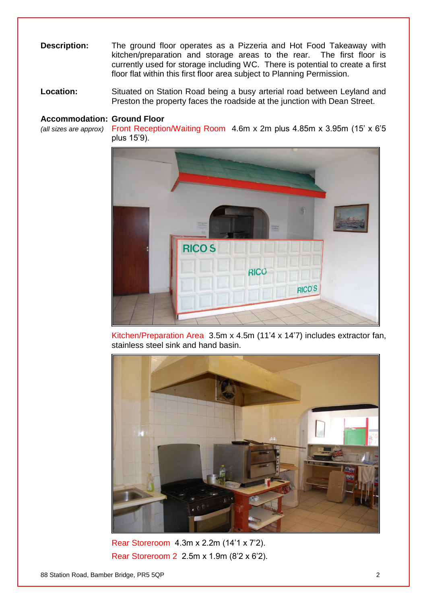- **Description:** The ground floor operates as a Pizzeria and Hot Food Takeaway with kitchen/preparation and storage areas to the rear. The first floor is currently used for storage including WC. There is potential to create a first floor flat within this first floor area subject to Planning Permission.
- **Location:** Situated on Station Road being a busy arterial road between Leyland and Preston the property faces the roadside at the junction with Dean Street.

## **Accommodation: Ground Floor**

*(all sizes are approx)* Front Reception/Waiting Room 4.6m x 2m plus 4.85m x 3.95m (15' x 6'5 plus 15'9).



Kitchen/Preparation Area 3.5m x 4.5m (11'4 x 14'7) includes extractor fan, stainless steel sink and hand basin.



Rear Storeroom 4.3m x 2.2m (14'1 x 7'2). Rear Storeroom 2 2.5m x 1.9m (8'2 x 6'2).